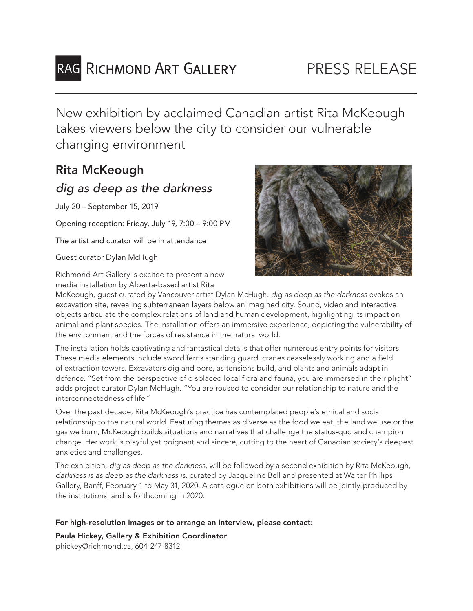# RAG RICHMOND ART GALLERY

## PRESS RELEASE

New exhibition by acclaimed Canadian artist Rita McKeough takes viewers below the city to consider our vulnerable changing environment

## Rita McKeough *dig as deep as the darkness*

July 20 – September 15, 2019

Opening reception: Friday, July 19, 7:00 – 9:00 PM

The artist and curator will be in attendance

### Guest curator Dylan McHugh

Richmond Art Gallery is excited to present a new media installation by Alberta-based artist Rita



McKeough, guest curated by Vancouver artist Dylan McHugh. *dig as deep as the darkness* evokes an excavation site, revealing subterranean layers below an imagined city. Sound, video and interactive objects articulate the complex relations of land and human development, highlighting its impact on animal and plant species. The installation offers an immersive experience, depicting the vulnerability of the environment and the forces of resistance in the natural world.

The installation holds captivating and fantastical details that offer numerous entry points for visitors. These media elements include sword ferns standing guard, cranes ceaselessly working and a field of extraction towers. Excavators dig and bore, as tensions build, and plants and animals adapt in defence. "Set from the perspective of displaced local flora and fauna, you are immersed in their plight" adds project curator Dylan McHugh. "You are roused to consider our relationship to nature and the interconnectedness of life."

Over the past decade, Rita McKeough's practice has contemplated people's ethical and social relationship to the natural world. Featuring themes as diverse as the food we eat, the land we use or the gas we burn, McKeough builds situations and narratives that challenge the status-quo and champion change. Her work is playful yet poignant and sincere, cutting to the heart of Canadian society's deepest anxieties and challenges.

The exhibition*, dig as deep as the darkness*, will be followed by a second exhibition by Rita McKeough, *darkness is as deep as the darkness is,* curated by Jacqueline Bell and presented at Walter Phillips Gallery, Banff, February 1 to May 31, 2020. A catalogue on both exhibitions will be jointly-produced by the institutions, and is forthcoming in 2020.

### For high-resolution images or to arrange an interview, please contact:

Paula Hickey, Gallery & Exhibition Coordinator phickey@richmond.ca, 604-247-8312